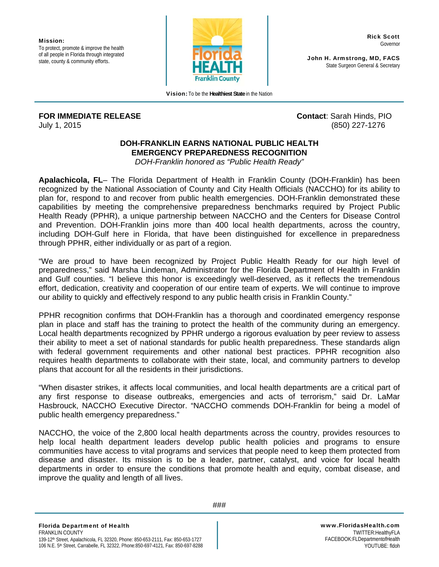Mission**:**  To protect, promote & improve the health of all people in Florida through integrated state, county & community efforts.



Vision**:** To be the **Healthiest State** in the Nation

**FOR IMMEDIATE RELEASE Contact**: Sarah Hinds, PIO July 1, 2015 (850) 227-1276

Rick Scott Governor

John H. Armstrong, MD, FACS State Surgeon General & Secretary

## **DOH-FRANKLIN EARNS NATIONAL PUBLIC HEALTH EMERGENCY PREPAREDNESS RECOGNITION**

*DOH-Franklin honored as "Public Health Ready"* 

**Apalachicola, FL**– The Florida Department of Health in Franklin County (DOH-Franklin) has been recognized by the National Association of County and City Health Officials (NACCHO) for its ability to plan for, respond to and recover from public health emergencies. DOH-Franklin demonstrated these capabilities by meeting the comprehensive preparedness benchmarks required by Project Public Health Ready (PPHR), a unique partnership between NACCHO and the Centers for Disease Control and Prevention. DOH-Franklin joins more than 400 local health departments, across the country, including DOH-Gulf here in Florida, that have been distinguished for excellence in preparedness through PPHR, either individually or as part of a region.

"We are proud to have been recognized by Project Public Health Ready for our high level of preparedness," said Marsha Lindeman, Administrator for the Florida Department of Health in Franklin and Gulf counties. "I believe this honor is exceedingly well-deserved, as it reflects the tremendous effort, dedication, creativity and cooperation of our entire team of experts. We will continue to improve our ability to quickly and effectively respond to any public health crisis in Franklin County."

PPHR recognition confirms that DOH-Franklin has a thorough and coordinated emergency response plan in place and staff has the training to protect the health of the community during an emergency. Local health departments recognized by PPHR undergo a rigorous evaluation by peer review to assess their ability to meet a set of national standards for public health preparedness. These standards align with federal government requirements and other national best practices. PPHR recognition also requires health departments to collaborate with their state, local, and community partners to develop plans that account for all the residents in their jurisdictions.

"When disaster strikes, it affects local communities, and local health departments are a critical part of any first response to disease outbreaks, emergencies and acts of terrorism," said Dr. LaMar Hasbrouck, NACCHO Executive Director. "NACCHO commends DOH-Franklin for being a model of public health emergency preparedness."

NACCHO, the voice of the 2,800 local health departments across the country, provides resources to help local health department leaders develop public health policies and programs to ensure communities have access to vital programs and services that people need to keep them protected from disease and disaster. Its mission is to be a leader, partner, catalyst, and voice for local health departments in order to ensure the conditions that promote health and equity, combat disease, and improve the quality and length of all lives.